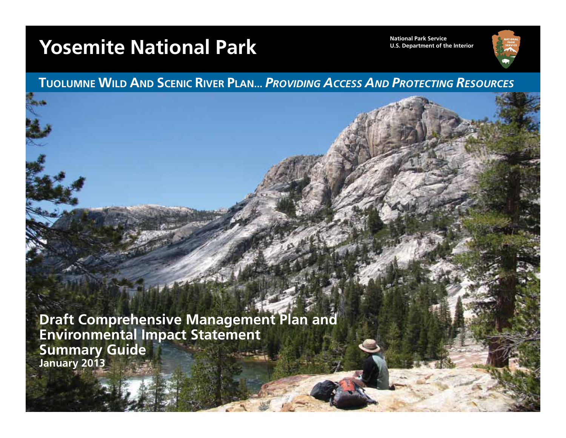# **Yosemite National Park Mational Park Service**



**TUOLUMNE WILD AND SCENIC RIVER PLAN...** *PROVIDING ACCESS AND PROTECTING RESOURCES*

**Draft Comprehensive Management Plan and Environmental Impact Statement Summary Guide January 2013**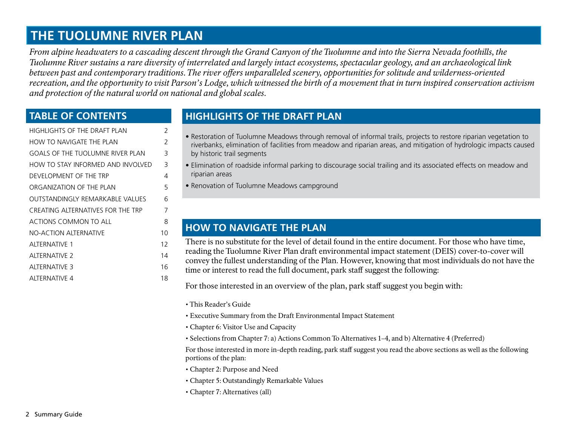## **THE TUOLUMNE RIVER PLAN**

*From alpine headwaters to a cascading descent through the Grand Canyon of the Tuolumne and into the Sierra Nevada foothills, the Tuolumne River sustains a rare diversity of interrelated and largely intact ecosystems, spectacular geology, and an archaeological link between past and contemporary traditions. The river offers unparalleled scenery, opportunities for solitude and wilderness-oriented recreation, and the opportunity to visit Parson's Lodge, which witnessed the birth of a movement that in turn inspired conservation activism and protection of the natural world on national and global scales.* 

### **TABLE OF CONTENTS**

| HIGHLIGHTS OF THE DRAFT PLAN            | 2  |
|-----------------------------------------|----|
| HOW TO NAVIGATE THE PLAN                | 2  |
| <b>GOALS OF THE TUOLUMNE RIVER PLAN</b> | 3  |
| HOW TO STAY INFORMED AND INVOLVED       | 3  |
| DEVELOPMENT OF THE TRP                  | 4  |
| ORGANIZATION OF THE PLAN                | 5  |
| OUTSTANDINGLY REMARKABLE VALUES         | 6  |
| CREATING ALTERNATIVES FOR THE TRP       | 7  |
| ACTIONS COMMON TO ALL                   | 8  |
| <b>NO-ACTION ALTERNATIVE</b>            | 10 |
| AITERNATIVE 1                           | 12 |
| AITERNATIVE 2                           | 14 |
| AITERNATIVE 3                           | 16 |
| ALTERNATIVE 4                           | 18 |
|                                         |    |

## **HIGHLIGHTS OF THE DRAFT PLAN**

- Restoration of Tuolumne Meadows through removal of informal trails, projects to restore riparian vegetation to riverbanks, elimination of facilities from meadow and riparian areas, and mitigation of hydrologic impacts caused by historic trail segments
- Elimination of roadside informal parking to discourage social trailing and its associated effects on meadow and riparian areas
- Renovation of Tuolumne Meadows campground

### **HOW TO NAVIGATE THE PLAN**

There is no substitute for the level of detail found in the entire document. For those who have time, reading the Tuolumne River Plan draft environmental impact statement (DEIS) cover-to-cover will convey the fullest understanding of the Plan. However, knowing that most individuals do not have the time or interest to read the full document, park staff suggest the following:

For those interested in an overview of the plan, park staff suggest you begin with:

- This Reader's Guide
- Executive Summary from the Draft Environmental Impact Statement
- Chapter 6: Visitor Use and Capacity
- Selections from Chapter 7: a) Actions Common To Alternatives 1–4, and b) Alternative 4 (Preferred)

For those interested in more in-depth reading, park staff suggest you read the above sections as well as the following portions of the plan:

- Chapter 2: Purpose and Need
- Chapter 5: Outstandingly Remarkable Values
- Chapter 7: Alternatives (all)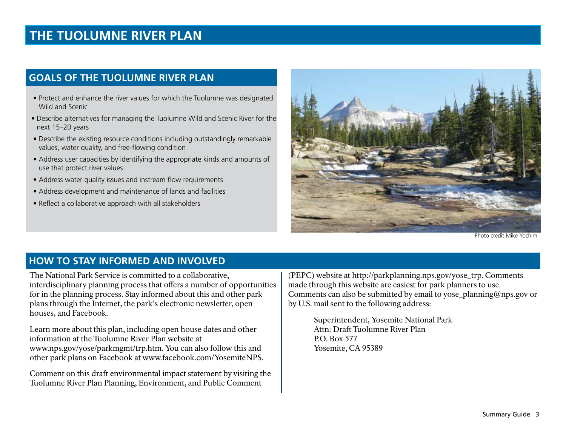## **THE TUOLUMNE RIVER PLAN**

### **GOALS OF THE TUOLUMNE RIVER PLAN**

- Protect and enhance the river values for which the Tuolumne was designated Wild and Scenic
- Describe alternatives for managing the Tuolumne Wild and Scenic River for the next 15–20 years
- Describe the existing resource conditions including outstandingly remarkable values, water quality, and free-flowing condition
- Address user capacities by identifying the appropriate kinds and amounts of use that protect river values
- Address water quality issues and instream flow requirements
- Address development and maintenance of lands and facilities
- Reflect a collaborative approach with all stakeholders



Photo credit Mike Yochim

### **HOW TO STAY INFORMED AND INVOLVED**

The National Park Service is committed to a collaborative, interdisciplinary planning process that offers a number of opportunities for in the planning process. Stay informed about this and other park plans through the Internet, the park's electronic newsletter, open houses, and Facebook.

Learn more about this plan, including open house dates and other information at the Tuolumne River Plan website at www.nps.gov/yose/parkmgmt/trp.htm. You can also follow this and other park plans on Facebook at www.facebook.com/YosemiteNPS.

Comment on this draft environmental impact statement by visiting the Tuolumne River Plan Planning, Environment, and Public Comment

(PEPC) website at http://parkplanning.nps.gov/yose\_trp. Comments made through this website are easiest for park planners to use. Comments can also be submitted by email to yose\_planning@nps.gov or by U.S. mail sent to the following address:

> Superintendent, Yosemite National Park Attn: Draft Tuolumne River Plan P.O. Box 577 Yosemite, CA 95389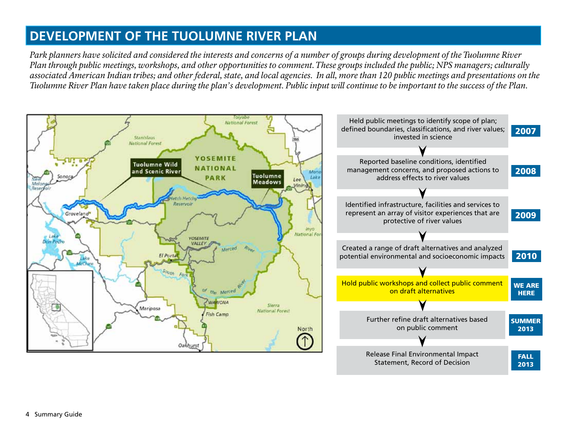## **DEVELOPMENT OF THE TUOLUMNE RIVER PLAN**

*Park planners have solicited and considered the interests and concerns of a number of groups during development of the Tuolumne River Plan through public meetings, workshops, and other opportunities to comment. These groups included the public; NPS managers; culturally associated American Indian tribes; and other federal, state, and local agencies. In all, more than 120 public meetings and presentations on the Tuolumne River Plan have taken place during the plan's development. Public input will continue to be important to the success of the Plan.*

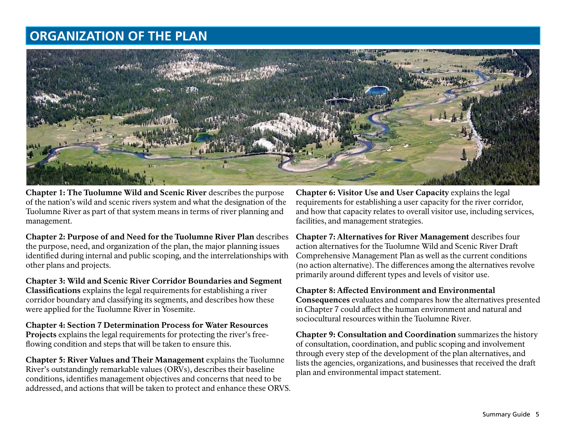## **ORGANIZATION OF THE PLAN**



Chapter 1: The Tuolumne Wild and Scenic River describes the purpose of the nation's wild and scenic rivers system and what the designation of the Tuolumne River as part of that system means in terms of river planning and management.

Chapter 2: Purpose of and Need for the Tuolumne River Plan describes the purpose, need, and organization of the plan, the major planning issues identified during internal and public scoping, and the interrelationships with other plans and projects.

Chapter 3: Wild and Scenic River Corridor Boundaries and Segment Classifications explains the legal requirements for establishing a river corridor boundary and classifying its segments, and describes how these were applied for the Tuolumne River in Yosemite.

Chapter 4: Section 7 Determination Process for Water Resources Projects explains the legal requirements for protecting the river's freeflowing condition and steps that will be taken to ensure this.

Chapter 5: River Values and Their Management explains the Tuolumne River's outstandingly remarkable values (ORVs), describes their baseline conditions, identifies management objectives and concerns that need to be addressed, and actions that will be taken to protect and enhance these ORVS.

Chapter 6: Visitor Use and User Capacity explains the legal requirements for establishing a user capacity for the river corridor, and how that capacity relates to overall visitor use, including services, facilities, and management strategies.

Chapter 7: Alternatives for River Management describes four action alternatives for the Tuolumne Wild and Scenic River Draft Comprehensive Management Plan as well as the current conditions (no action alternative). The differences among the alternatives revolve primarily around different types and levels of visitor use.

### Chapter 8: Affected Environment and Environmental

Consequences evaluates and compares how the alternatives presented in Chapter 7 could affect the human environment and natural and sociocultural resources within the Tuolumne River.

Chapter 9: Consultation and Coordination summarizes the history of consultation, coordination, and public scoping and involvement through every step of the development of the plan alternatives, and lists the agencies, organizations, and businesses that received the draft plan and environmental impact statement.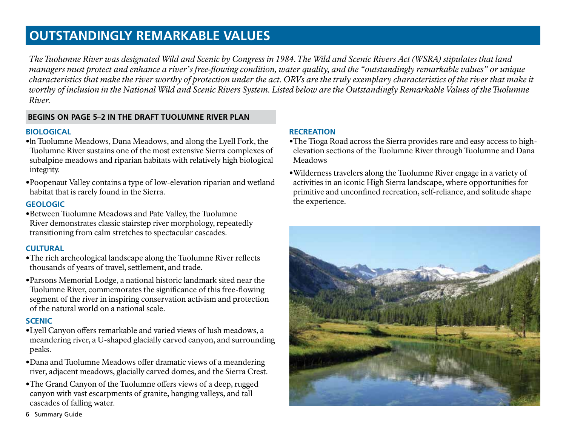## **OUTSTANDINGLY REMARKABLE VALUES**

*The Tuolumne River was designated Wild and Scenic by Congress in 1984. The Wild and Scenic Rivers Act (WSRA) stipulates that land managers must protect and enhance a river's free-flowing condition, water quality, and the "outstandingly remarkable values" or unique characteristics that make the river worthy of protection under the act. ORVs are the truly exemplary characteristics of the river that make it worthy of inclusion in the National Wild and Scenic Rivers System. Listed below are the Outstandingly Remarkable Values of the Tuolumne River.*

### **BEGINS ON PAGE 5**–**2 IN THE DRAFT TUOLUMNE RIVER PLAN**

### **BIOLOGICAL**

- **•**In Tuolumne Meadows, Dana Meadows, and along the Lyell Fork, the Tuolumne River sustains one of the most extensive Sierra complexes of subalpine meadows and riparian habitats with relatively high biological integrity.
- **•**Poopenaut Valley contains a type of low-elevation riparian and wetland habitat that is rarely found in the Sierra.

### **GEOLOGIC**

**•**Between Tuolumne Meadows and Pate Valley, the Tuolumne River demonstrates classic stairstep river morphology, repeatedly transitioning from calm stretches to spectacular cascades.

### **CULTURAL**

- **•**The rich archeological landscape along the Tuolumne River reflects thousands of years of travel, settlement, and trade.
- **•**Parsons Memorial Lodge, a national historic landmark sited near the Tuolumne River, commemorates the significance of this free-flowing segment of the river in inspiring conservation activism and protection of the natural world on a national scale.

### **SCENIC**

- **•**Lyell Canyon offers remarkable and varied views of lush meadows, a meandering river, a U-shaped glacially carved canyon, and surrounding peaks.
- **•**Dana and Tuolumne Meadows offer dramatic views of a meandering river, adjacent meadows, glacially carved domes, and the Sierra Crest.
- **•**The Grand Canyon of the Tuolumne offers views of a deep, rugged canyon with vast escarpments of granite, hanging valleys, and tall cascades of falling water.

### **RECREATION**

- **•**The Tioga Road across the Sierra provides rare and easy access to highelevation sections of the Tuolumne River through Tuolumne and Dana Meadows
- **•**Wilderness travelers along the Tuolumne River engage in a variety of activities in an iconic High Sierra landscape, where opportunities for primitive and unconfined recreation, self-reliance, and solitude shape the experience.



6 Summary Guide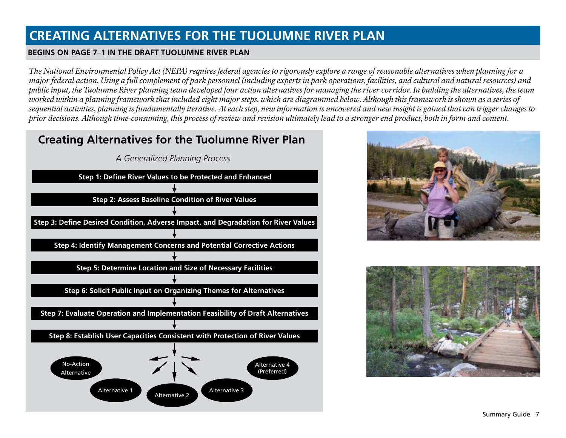## **CREATING ALTERNATIVES FOR THE TUOLUMNE RIVER PLAN**

### **BEGINS ON PAGE 7**–**1 IN THE DRAFT TUOLUMNE RIVER PLAN**

*The National Environmental Policy Act (NEPA) requires federal agencies to rigorously explore a range of reasonable alternatives when planning for a major federal action. Using a full complement of park personnel (including experts in park operations, facilities, and cultural and natural resources) and public input, the Tuolumne River planning team developed four action alternatives for managing the river corridor. In building the alternatives, the team worked within a planning framework that included eight major steps, which are diagrammed below. Although this framework is shown as a series of sequential activities, planning is fundamentally iterative. At each step, new information is uncovered and new insight is gained that can trigger changes to prior decisions. Although time-consuming, this process of review and revision ultimately lead to a stronger end product, both in form and content.*





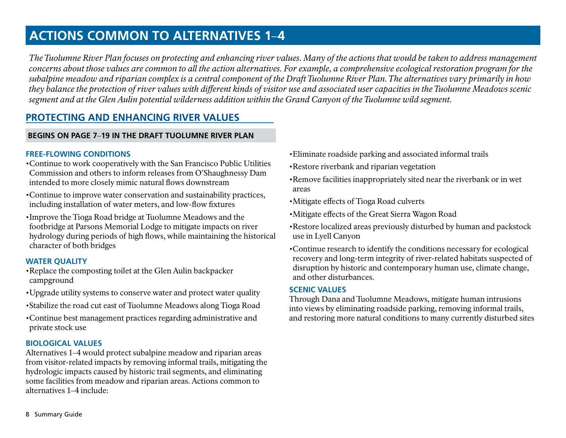## **ACTIONS COMMON TO ALTERNATIVES 1**–**4**

*The Tuolumne River Plan focuses on protecting and enhancing river values. Many of the actions that would be taken to address management concerns about those values are common to all the action alternatives. For example, a comprehensive ecological restoration program for the subalpine meadow and riparian complex is a central component of the Draft Tuolumne River Plan. The alternatives vary primarily in how they balance the protection of river values with different kinds of visitor use and associated user capacities in the Tuolumne Meadows scenic segment and at the Glen Aulin potential wilderness addition within the Grand Canyon of the Tuolumne wild segment.*

### **PROTECTING AND ENHANCING RIVER VALUES**

### **BEGINS ON PAGE 7**–**19 IN THE DRAFT TUOLUMNE RIVER PLAN**

### **FREE-FLOWING CONDITIONS**

- •Continue to work cooperatively with the San Francisco Public Utilities Commission and others to inform releases from O'Shaughnessy Dam intended to more closely mimic natural flows downstream
- •Continue to improve water conservation and sustainability practices, including installation of water meters, and low-flow fixtures
- •Improve the Tioga Road bridge at Tuolumne Meadows and the footbridge at Parsons Memorial Lodge to mitigate impacts on river hydrology during periods of high flows, while maintaining the historical character of both bridges

### **WATER QUALITY**

- •Replace the composting toilet at the Glen Aulin backpacker campground
- •Upgrade utility systems to conserve water and protect water quality
- •Stabilize the road cut east of Tuolumne Meadows along Tioga Road
- •Continue best management practices regarding administrative and private stock use

### **BIOLOGICAL VALUES**

Alternatives 1–4 would protect subalpine meadow and riparian areas from visitor-related impacts by removing informal trails, mitigating the hydrologic impacts caused by historic trail segments, and eliminating some facilities from meadow and riparian areas. Actions common to alternatives 1–4 include:

- •Eliminate roadside parking and associated informal trails
- •Restore riverbank and riparian vegetation
- •Remove facilities inappropriately sited near the riverbank or in wet areas
- •Mitigate effects of Tioga Road culverts
- •Mitigate effects of the Great Sierra Wagon Road
- •Restore localized areas previously disturbed by human and packstock use in Lyell Canyon
- •Continue research to identify the conditions necessary for ecological recovery and long-term integrity of river-related habitats suspected of disruption by historic and contemporary human use, climate change, and other disturbances.

### **SCENIC VALUES**

Through Dana and Tuolumne Meadows, mitigate human intrusions into views by eliminating roadside parking, removing informal trails, and restoring more natural conditions to many currently disturbed sites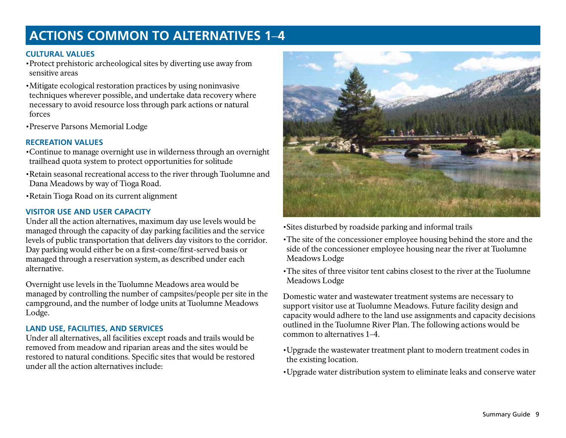## **ACTIONS COMMON TO ALTERNATIVES 1**–**4**

### **CULTURAL VALUES**

•Protect prehistoric archeological sites by diverting use away from sensitive areas

- •Mitigate ecological restoration practices by using noninvasive techniques wherever possible, and undertake data recovery where necessary to avoid resource loss through park actions or natural forces
- •Preserve Parsons Memorial Lodge

### **RECREATION VALUES**

- •Continue to manage overnight use in wilderness through an overnight trailhead quota system to protect opportunities for solitude
- •Retain seasonal recreational access to the river through Tuolumne and Dana Meadows by way of Tioga Road.
- •Retain Tioga Road on its current alignment

### **VISITOR USE AND USER CAPACITY**

Under all the action alternatives, maximum day use levels would be managed through the capacity of day parking facilities and the service levels of public transportation that delivers day visitors to the corridor. Day parking would either be on a first-come/first-served basis or managed through a reservation system, as described under each alternative.

Overnight use levels in the Tuolumne Meadows area would be managed by controlling the number of campsites/people per site in the campground, and the number of lodge units at Tuolumne Meadows Lodge.

### **LAND USE, FACILITIES, AND SERVICES**

Under all alternatives, all facilities except roads and trails would be removed from meadow and riparian areas and the sites would be restored to natural conditions. Specific sites that would be restored under all the action alternatives include:



•Sites disturbed by roadside parking and informal trails

- •The site of the concessioner employee housing behind the store and the side of the concessioner employee housing near the river at Tuolumne Meadows Lodge
- •The sites of three visitor tent cabins closest to the river at the Tuolumne Meadows Lodge

Domestic water and wastewater treatment systems are necessary to support visitor use at Tuolumne Meadows. Future facility design and capacity would adhere to the land use assignments and capacity decisions outlined in the Tuolumne River Plan. The following actions would be common to alternatives 1–4.

- •Upgrade the wastewater treatment plant to modern treatment codes in the existing location.
- •Upgrade water distribution system to eliminate leaks and conserve water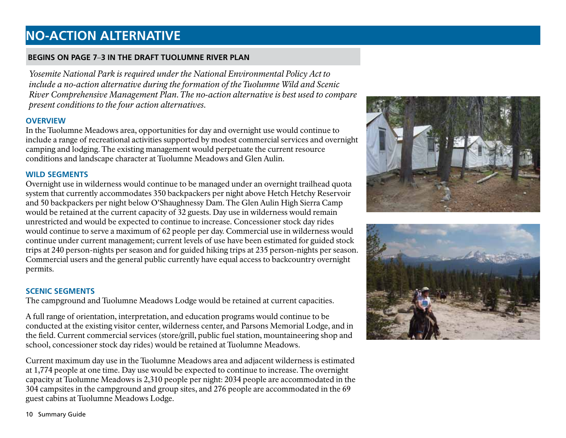## **NO-ACTION ALTERNATIVE**

### **BEGINS ON PAGE 7**–**3 IN THE DRAFT TUOLUMNE RIVER PLAN**

*Yosemite National Park is required under the National Environmental Policy Act to include a no-action alternative during the formation of the Tuolumne Wild and Scenic River Comprehensive Management Plan. The no-action alternative is best used to compare present conditions to the four action alternatives.*

### **OVERVIEW**

In the Tuolumne Meadows area, opportunities for day and overnight use would continue to include a range of recreational activities supported by modest commercial services and overnight camping and lodging. The existing management would perpetuate the current resource conditions and landscape character at Tuolumne Meadows and Glen Aulin.

### **WILD SEGMENTS**

Overnight use in wilderness would continue to be managed under an overnight trailhead quota system that currently accommodates 350 backpackers per night above Hetch Hetchy Reservoir and 50 backpackers per night below O'Shaughnessy Dam. The Glen Aulin High Sierra Camp would be retained at the current capacity of 32 guests. Day use in wilderness would remain unrestricted and would be expected to continue to increase. Concessioner stock day rides would continue to serve a maximum of 62 people per day. Commercial use in wilderness would continue under current management; current levels of use have been estimated for guided stock trips at 240 person-nights per season and for guided hiking trips at 235 person-nights per season. Commercial users and the general public currently have equal access to backcountry overnight permits.

### **SCENIC SEGMENTS**

The campground and Tuolumne Meadows Lodge would be retained at current capacities.

A full range of orientation, interpretation, and education programs would continue to be conducted at the existing visitor center, wilderness center, and Parsons Memorial Lodge, and in the field. Current commercial services (store/grill, public fuel station, mountaineering shop and school, concessioner stock day rides) would be retained at Tuolumne Meadows.

Current maximum day use in the Tuolumne Meadows area and adjacent wilderness is estimated at 1,774 people at one time. Day use would be expected to continue to increase. The overnight capacity at Tuolumne Meadows is 2,310 people per night: 2034 people are accommodated in the 304 campsites in the campground and group sites, and 276 people are accommodated in the 69 guest cabins at Tuolumne Meadows Lodge.





10 Summary Guide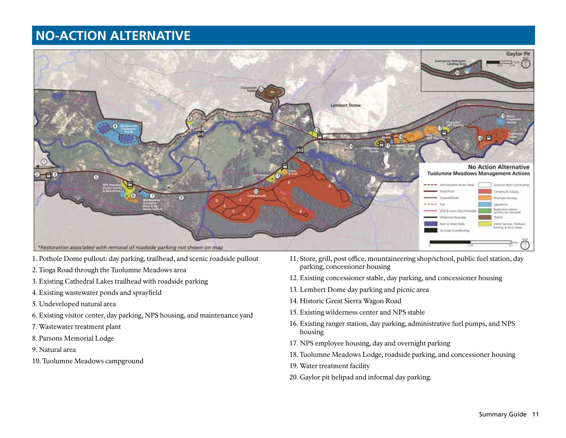## **NO-ACTION ALTERNATIVE**



- 1. Pothole Dome pullout: day parking, trailhead, and scenic roadside pullout
- 2. Tioga Road through the Tuolumne Meadows area
- 3. Existing Cathedral Lakes trailhead with roadside parking
- 4. Existing wastewater ponds and sprayfield
- 5. Undeveloped natural area
- 6. Existing visitor center, day parking, NPS housing, and maintenance yard
- 7. Wastewater treatment plant
- 8. Parsons Memorial Lodge
- 9. Natural area
- 10. Tuolumne Meadows campground
- 11. Store, grill, post office, mountaineering shop/school, public fuel station, day parking, concessioner housing
- 12. Existing concessioner stable, day parking, and concessioner housing
- 13. Lembert Dome day parking and picnic area
- 14. Historic Great Sierra Wagon Road
- 15. Existing wilderness center and NPS stable
- 16. Existing ranger station, day parking, administrative fuel pumps, and NPS housing
- 17. NPS employee housing, day and overnight parking
- 18. Tuolumne Meadows Lodge, roadside parking, and concessioner housing
- 19. Water treatment facility
- 20. Gaylor pit helipad and informal day parking.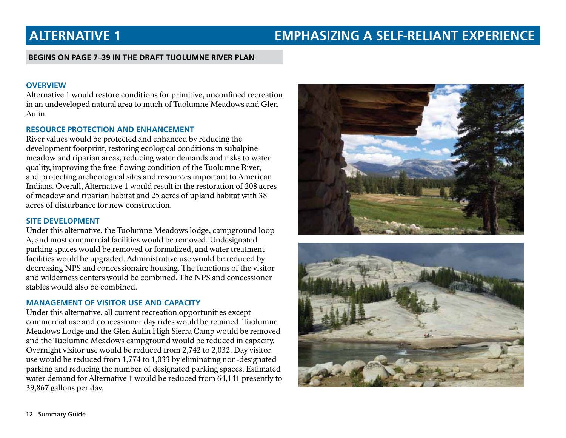## **ALTERNATIVE 1 EMPHASIZING A SELF-RELIANT EXPERIENCE**

### **BEGINS ON PAGE 7**–**39 IN THE DRAFT TUOLUMNE RIVER PLAN**

### **OVERVIEW**

Alternative 1 would restore conditions for primitive, unconfined recreation in an undeveloped natural area to much of Tuolumne Meadows and Glen Aulin.

### **RESOURCE PROTECTION AND ENHANCEMENT**

River values would be protected and enhanced by reducing the development footprint, restoring ecological conditions in subalpine meadow and riparian areas, reducing water demands and risks to water quality, improving the free-flowing condition of the Tuolumne River, and protecting archeological sites and resources important to American Indians. Overall, Alternative 1 would result in the restoration of 208 acres of meadow and riparian habitat and 25 acres of upland habitat with 38 acres of disturbance for new construction.

### **SITE DEVELOPMENT**

Under this alternative, the Tuolumne Meadows lodge, campground loop A, and most commercial facilities would be removed. Undesignated parking spaces would be removed or formalized, and water treatment facilities would be upgraded. Administrative use would be reduced by decreasing NPS and concessionaire housing. The functions of the visitor and wilderness centers would be combined. The NPS and concessioner stables would also be combined.

### **MANAGEMENT OF VISITOR USE AND CAPACITY**

Under this alternative, all current recreation opportunities except commercial use and concessioner day rides would be retained. Tuolumne Meadows Lodge and the Glen Aulin High Sierra Camp would be removed and the Tuolumne Meadows campground would be reduced in capacity. Overnight visitor use would be reduced from 2,742 to 2,032. Day visitor use would be reduced from 1,774 to 1,033 by eliminating non-designated parking and reducing the number of designated parking spaces. Estimated water demand for Alternative 1 would be reduced from 64,141 presently to 39,867 gallons per day.



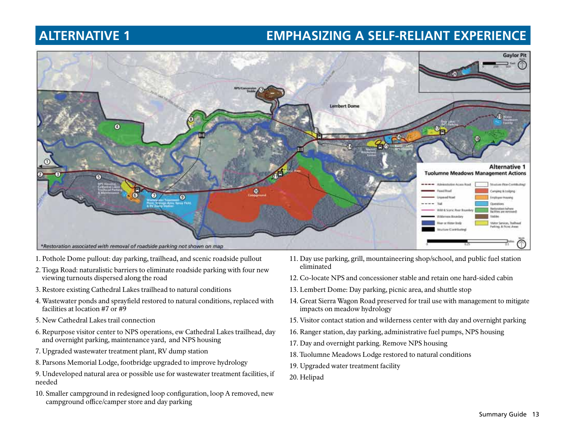## **ALTERNATIVE 1 EMPHASIZING A SELF-RELIANT EXPERIENCE**



- 1. Pothole Dome pullout: day parking, trailhead, and scenic roadside pullout
- 2. Tioga Road: naturalistic barriers to eliminate roadside parking with four new viewing turnouts dispersed along the road
- 3. Restore existing Cathedral Lakes trailhead to natural conditions
- 4. Wastewater ponds and sprayfield restored to natural conditions, replaced with facilities at location #7 or #9
- 5. New Cathedral Lakes trail connection
- 6. Repurpose visitor center to NPS operations, ew Cathedral Lakes trailhead, day and overnight parking, maintenance yard, and NPS housing
- 7. Upgraded wastewater treatment plant, RV dump station
- 8. Parsons Memorial Lodge, footbridge upgraded to improve hydrology
- 9. Undeveloped natural area or possible use for wastewater treatment facilities, if needed
- 10. Smaller campground in redesigned loop configuration, loop A removed, new campground office/camper store and day parking
- 11. Day use parking, grill, mountaineering shop/school, and public fuel station eliminated
- 12. Co-locate NPS and concessioner stable and retain one hard-sided cabin
- 13. Lembert Dome: Day parking, picnic area, and shuttle stop
- 14. Great Sierra Wagon Road preserved for trail use with management to mitigate impacts on meadow hydrology
- 15. Visitor contact station and wilderness center with day and overnight parking
- 16. Ranger station, day parking, administrative fuel pumps, NPS housing
- 17. Day and overnight parking. Remove NPS housing
- 18. Tuolumne Meadows Lodge restored to natural conditions
- 19. Upgraded water treatment facility
- 20. Helipad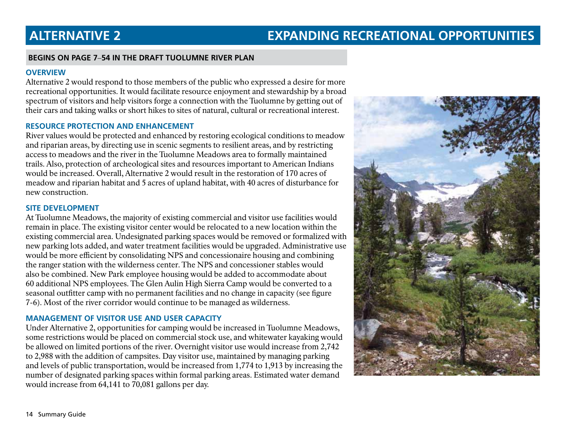## **ALTERNATIVE 2 EXPANDING RECREATIONAL OPPORTUNITIES**

### **BEGINS ON PAGE 7**–**54 IN THE DRAFT TUOLUMNE RIVER PLAN**

### **OVERVIEW**

Alternative 2 would respond to those members of the public who expressed a desire for more recreational opportunities. It would facilitate resource enjoyment and stewardship by a broad spectrum of visitors and help visitors forge a connection with the Tuolumne by getting out of their cars and taking walks or short hikes to sites of natural, cultural or recreational interest.

### **RESOURCE PROTECTION AND ENHANCEMENT**

River values would be protected and enhanced by restoring ecological conditions to meadow and riparian areas, by directing use in scenic segments to resilient areas, and by restricting access to meadows and the river in the Tuolumne Meadows area to formally maintained trails. Also, protection of archeological sites and resources important to American Indians would be increased. Overall, Alternative 2 would result in the restoration of 170 acres of meadow and riparian habitat and 5 acres of upland habitat, with 40 acres of disturbance for new construction.

### **SITE DEVELOPMENT**

At Tuolumne Meadows, the majority of existing commercial and visitor use facilities would remain in place. The existing visitor center would be relocated to a new location within the existing commercial area. Undesignated parking spaces would be removed or formalized with new parking lots added, and water treatment facilities would be upgraded. Administrative use would be more efficient by consolidating NPS and concessionaire housing and combining the ranger station with the wilderness center. The NPS and concessioner stables would also be combined. New Park employee housing would be added to accommodate about 60 additional NPS employees. The Glen Aulin High Sierra Camp would be converted to a seasonal outfitter camp with no permanent facilities and no change in capacity (see figure 7-6). Most of the river corridor would continue to be managed as wilderness.

### **MANAGEMENT OF VISITOR USE AND USER CAPACITY**

Under Alternative 2, opportunities for camping would be increased in Tuolumne Meadows, some restrictions would be placed on commercial stock use, and whitewater kayaking would be allowed on limited portions of the river. Overnight visitor use would increase from 2,742 to 2,988 with the addition of campsites. Day visitor use, maintained by managing parking and levels of public transportation, would be increased from 1,774 to 1,913 by increasing the number of designated parking spaces within formal parking areas. Estimated water demand would increase from 64,141 to 70,081 gallons per day.

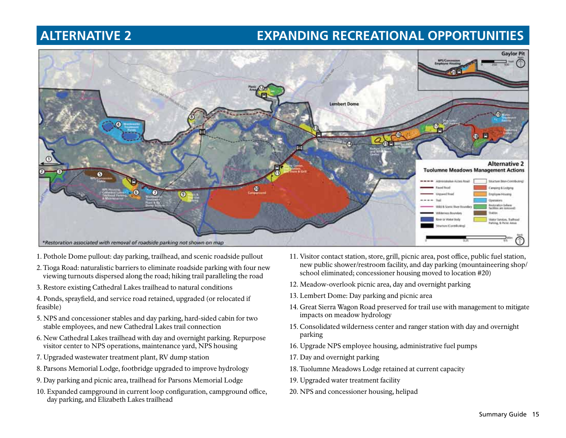## **ALTERNATIVE 2 EXPANDING RECREATIONAL OPPORTUNITIES**



- 1. Pothole Dome pullout: day parking, trailhead, and scenic roadside pullout
- 2. Tioga Road: naturalistic barriers to eliminate roadside parking with four new viewing turnouts dispersed along the road; hiking trail paralleling the road
- 3. Restore existing Cathedral Lakes trailhead to natural conditions

4. Ponds, sprayfield, and service road retained, upgraded (or relocated if feasible)

- 5. NPS and concessioner stables and day parking, hard-sided cabin for two stable employees, and new Cathedral Lakes trail connection
- 6. New Cathedral Lakes trailhead with day and overnight parking. Repurpose visitor center to NPS operations, maintenance yard, NPS housing
- 7. Upgraded wastewater treatment plant, RV dump station
- 8. Parsons Memorial Lodge, footbridge upgraded to improve hydrology
- 9. Day parking and picnic area, trailhead for Parsons Memorial Lodge
- 10. Expanded campground in current loop configuration, campground office, day parking, and Elizabeth Lakes trailhead
- 11. Visitor contact station, store, grill, picnic area, post office, public fuel station, new public shower/restroom facility, and day parking (mountaineering shop/ school eliminated; concessioner housing moved to location #20)
- 12. Meadow-overlook picnic area, day and overnight parking
- 13. Lembert Dome: Day parking and picnic area
- 14. Great Sierra Wagon Road preserved for trail use with management to mitigate impacts on meadow hydrology
- 15. Consolidated wilderness center and ranger station with day and overnight parking
- 16. Upgrade NPS employee housing, administrative fuel pumps
- 17. Day and overnight parking
- 18. Tuolumne Meadows Lodge retained at current capacity
- 19. Upgraded water treatment facility
- 20. NPS and concessioner housing, helipad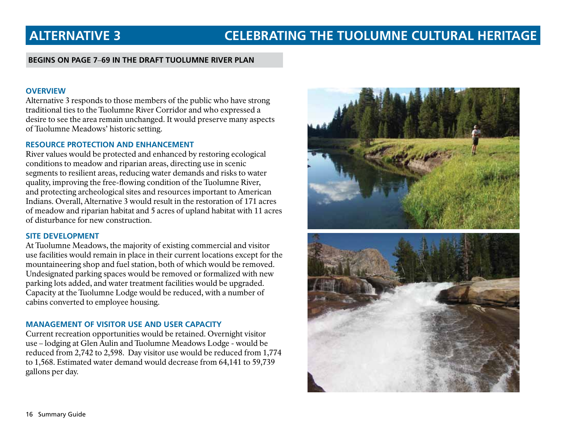### **BEGINS ON PAGE 7**–**69 IN THE DRAFT TUOLUMNE RIVER PLAN**

### **OVERVIEW**

Alternative 3 responds to those members of the public who have strong traditional ties to the Tuolumne River Corridor and who expressed a desire to see the area remain unchanged. It would preserve many aspects of Tuolumne Meadows' historic setting.

### **RESOURCE PROTECTION AND ENHANCEMENT**

River values would be protected and enhanced by restoring ecological conditions to meadow and riparian areas, directing use in scenic segments to resilient areas, reducing water demands and risks to water quality, improving the free-flowing condition of the Tuolumne River, and protecting archeological sites and resources important to American Indians. Overall, Alternative 3 would result in the restoration of 171 acres of meadow and riparian habitat and 5 acres of upland habitat with 11 acres of disturbance for new construction.

### **SITE DEVELOPMENT**

At Tuolumne Meadows, the majority of existing commercial and visitor use facilities would remain in place in their current locations except for the mountaineering shop and fuel station, both of which would be removed. Undesignated parking spaces would be removed or formalized with new parking lots added, and water treatment facilities would be upgraded. Capacity at the Tuolumne Lodge would be reduced, with a number of cabins converted to employee housing.

### **MANAGEMENT OF VISITOR USE AND USER CAPACITY**

Current recreation opportunities would be retained. Overnight visitor use – lodging at Glen Aulin and Tuolumne Meadows Lodge - would be reduced from 2,742 to 2,598. Day visitor use would be reduced from 1,774 to 1,568. Estimated water demand would decrease from 64,141 to 59,739 gallons per day.

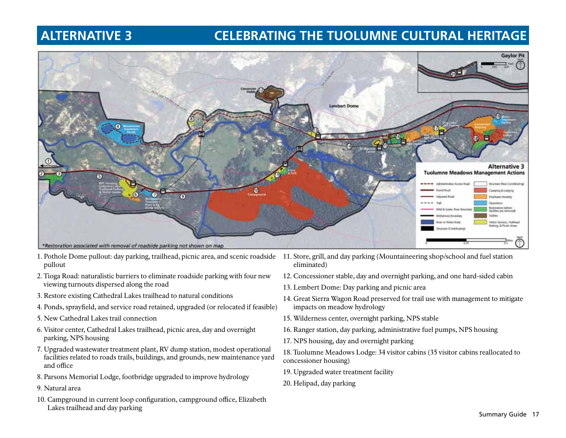## **ALTERNATIVE 3 CELEBRATING THE TUOLUMNE CULTURAL HERITAGE**



- 1. Pothole Dome pullout: day parking, trailhead, picnic area, and scenic roadside 11. Store, grill, and day parking (Mountaineering shop/school and fuel station pullout
- 2. Tioga Road: naturalistic barriers to eliminate roadside parking with four new viewing turnouts dispersed along the road
- 3. Restore existing Cathedral Lakes trailhead to natural conditions
- 4. Ponds, sprayfield, and service road retained, upgraded (or relocated if feasible)
- 5. New Cathedral Lakes trail connection
- 6. Visitor center, Cathedral Lakes trailhead, picnic area, day and overnight parking, NPS housing
- 7. Upgraded wastewater treatment plant, RV dump station, modest operational facilities related to roads trails, buildings, and grounds, new maintenance yard and office
- 8. Parsons Memorial Lodge, footbridge upgraded to improve hydrology
- 9. Natural area
- 10. Campground in current loop configuration, campground office, Elizabeth Lakes trailhead and day parking
- eliminated)
- 12. Concessioner stable, day and overnight parking, and one hard-sided cabin
- 13. Lembert Dome: Day parking and picnic area
- 14. Great Sierra Wagon Road preserved for trail use with management to mitigate impacts on meadow hydrology
- 15. Wilderness center, overnight parking, NPS stable
- 16. Ranger station, day parking, administrative fuel pumps, NPS housing
- 17. NPS housing, day and overnight parking

18. Tuolumne Meadows Lodge: 34 visitor cabins (35 visitor cabins reallocated to concessioner housing)

- 19. Upgraded water treatment facility
- 20. Helipad, day parking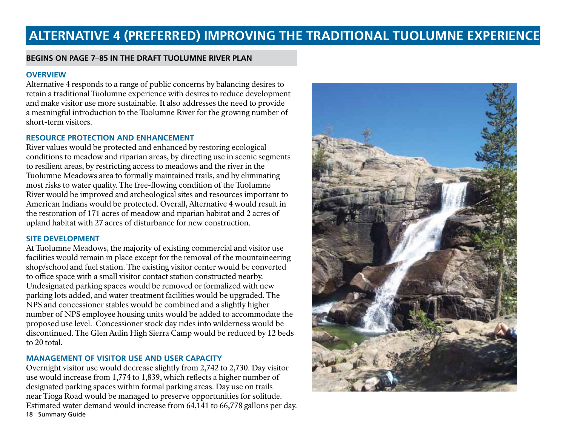## **ALTERNATIVE 4 (PREFERRED) IMPROVING THE TRADITIONAL TUOLUMNE EXPERIENCE**

### **BEGINS ON PAGE 7**–**85 IN THE DRAFT TUOLUMNE RIVER PLAN**

### **OVERVIEW**

Alternative 4 responds to a range of public concerns by balancing desires to retain a traditional Tuolumne experience with desires to reduce development and make visitor use more sustainable. It also addresses the need to provide a meaningful introduction to the Tuolumne River for the growing number of short-term visitors.

### **RESOURCE PROTECTION AND ENHANCEMENT**

River values would be protected and enhanced by restoring ecological conditions to meadow and riparian areas, by directing use in scenic segments to resilient areas, by restricting access to meadows and the river in the Tuolumne Meadows area to formally maintained trails, and by eliminating most risks to water quality. The free-flowing condition of the Tuolumne River would be improved and archeological sites and resources important to American Indians would be protected. Overall, Alternative 4 would result in the restoration of 171 acres of meadow and riparian habitat and 2 acres of upland habitat with 27 acres of disturbance for new construction.

### **SITE DEVELOPMENT**

At Tuolumne Meadows, the majority of existing commercial and visitor use facilities would remain in place except for the removal of the mountaineering shop/school and fuel station. The existing visitor center would be converted to office space with a small visitor contact station constructed nearby. Undesignated parking spaces would be removed or formalized with new parking lots added, and water treatment facilities would be upgraded. The NPS and concessioner stables would be combined and a slightly higher number of NPS employee housing units would be added to accommodate the proposed use level. Concessioner stock day rides into wilderness would be discontinued. The Glen Aulin High Sierra Camp would be reduced by 12 beds to 20 total.

### **MANAGEMENT OF VISITOR USE AND USER CAPACITY**

18 Summary Guide Overnight visitor use would decrease slightly from 2,742 to 2,730. Day visitor use would increase from 1,774 to 1,839, which reflects a higher number of designated parking spaces within formal parking areas. Day use on trails near Tioga Road would be managed to preserve opportunities for solitude. Estimated water demand would increase from 64,141 to 66,778 gallons per day.

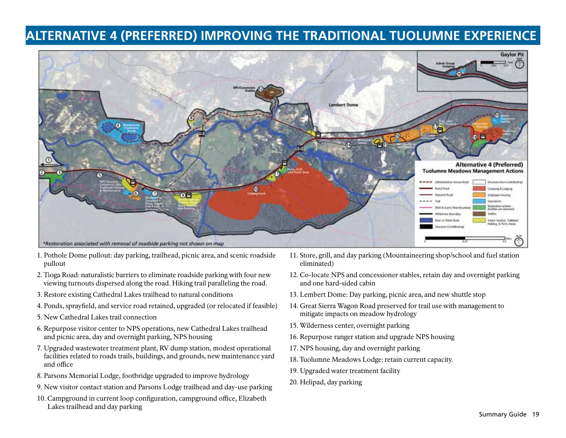## **ALTERNATIVE 4 (PREFERRED) IMPROVING THE TRADITIONAL TUOLUMNE EXPERIENCE**



- 1. Pothole Dome pullout: day parking, trailhead, picnic area, and scenic roadside pullout
- 2. Tioga Road: naturalistic barriers to eliminate roadside parking with four new viewing turnouts dispersed along the road. Hiking trail paralleling the road.
- 3. Restore existing Cathedral Lakes trailhead to natural conditions
- 4. Ponds, sprayfield, and service road retained, upgraded (or relocated if feasible)
- 5. New Cathedral Lakes trail connection
- 6. Repurpose visitor center to NPS operations, new Cathedral Lakes trailhead and picnic area, day and overnight parking, NPS housing
- 7. Upgraded wastewater treatment plant, RV dump station, modest operational facilities related to roads trails, buildings, and grounds, new maintenance yard and office
- 8. Parsons Memorial Lodge, footbridge upgraded to improve hydrology
- 9. New visitor contact station and Parsons Lodge trailhead and day-use parking
- 10. Campground in current loop configuration, campground office, Elizabeth Lakes trailhead and day parking
- 11. Store, grill, and day parking (Mountaineering shop/school and fuel station eliminated)
- 12. Co-locate NPS and concessioner stables, retain day and overnight parking and one hard-sided cabin
- 13. Lembert Dome: Day parking, picnic area, and new shuttle stop
- 14. Great Sierra Wagon Road preserved for trail use with management to mitigate impacts on meadow hydrology
- 15. Wilderness center, overnight parking
- 16. Repurpose ranger station and upgrade NPS housing
- 17. NPS housing, day and overnight parking
- 18. Tuolumne Meadows Lodge: retain current capacity.
- 19. Upgraded water treatment facility
- 20. Helipad, day parking